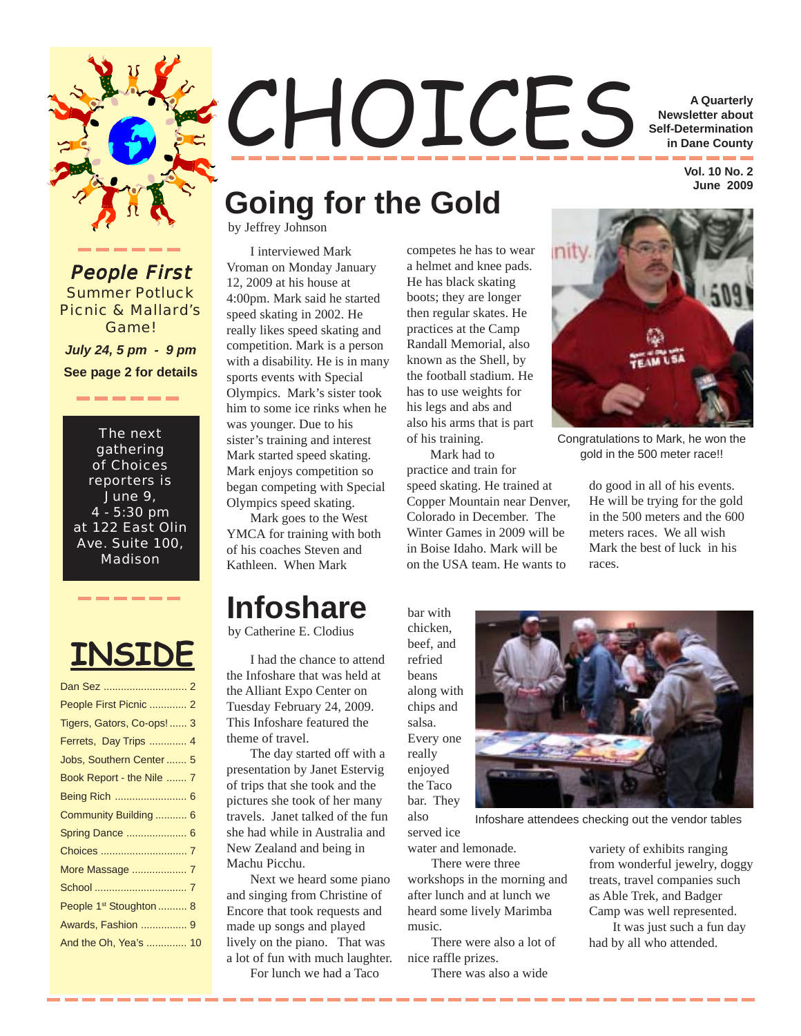

## CHOICES **A Quarterly Newsletter about Self-Determination in Dane County**

 **Vol. 10 No. 2 June 2009**

## **Going for the Gold**

by Jeffrey Johnson

I interviewed Mark Vroman on Monday January 12, 2009 at his house at 4:00pm. Mark said he started speed skating in 2002. He really likes speed skating and competition. Mark is a person with a disability. He is in many sports events with Special Olympics. Mark's sister took him to some ice rinks when he was younger. Due to his sister's training and interest Mark started speed skating. Mark enjoys competition so began competing with Special Olympics speed skating.

Mark goes to the West YMCA for training with both of his coaches Steven and Kathleen. When Mark

## **Infoshare**

by Catherine E. Clodius

I had the chance to attend the Infoshare that was held at the Alliant Expo Center on Tuesday February 24, 2009. This Infoshare featured the theme of travel.

The day started off with a presentation by Janet Estervig of trips that she took and the pictures she took of her many travels. Janet talked of the fun she had while in Australia and New Zealand and being in Machu Picchu.

Next we heard some piano and singing from Christine of Encore that took requests and made up songs and played lively on the piano. That was a lot of fun with much laughter. For lunch we had a Taco

competes he has to wear a helmet and knee pads. He has black skating boots; they are longer then regular skates. He practices at the Camp Randall Memorial, also known as the Shell, by the football stadium. He has to use weights for his legs and abs and also his arms that is part of his training.

Mark had to practice and train for speed skating. He trained at Copper Mountain near Denver, Colorado in December. The Winter Games in 2009 will be in Boise Idaho. Mark will be on the USA team. He wants to



Congratulations to Mark, he won the gold in the 500 meter race!!

do good in all of his events. He will be trying for the gold in the 500 meters and the 600 meters races. We all wish Mark the best of luck in his races.

chicken, beef, and refried beans along with chips and salsa. Every one really enjoyed

the Taco

also

bar with



served ice Infoshare attendees checking out the vendor tables

water and lemonade.

There were three workshops in the morning and after lunch and at lunch we heard some lively Marimba music.

There were also a lot of nice raffle prizes.

There was also a wide

variety of exhibits ranging from wonderful jewelry, doggy treats, travel companies such as Able Trek, and Badger Camp was well represented.

It was just such a fun day had by all who attended.

**People First** Summer Potluck Picnic & Mallard's Game! *July 24, 5 pm - 9 pm* **See page 2 for details**

The next gathering of Choices reporters is June 9, 4 - 5:30 pm at 122 East Olin Ave. Suite 100, Madison

-------



Dan Sez ............................

| People First Picnic  2              |  |
|-------------------------------------|--|
| Tigers, Gators, Co-ops! 3           |  |
| Ferrets, Day Trips  4               |  |
| Jobs, Southern Center 5             |  |
| Book Report - the Nile  7           |  |
| Being Rich  6                       |  |
| Community Building 6                |  |
| Spring Dance  6                     |  |
|                                     |  |
| More Massage  7                     |  |
|                                     |  |
| People 1 <sup>st</sup> Stoughton  8 |  |
| Awards, Fashion  9                  |  |
| And the Oh, Yea's  10               |  |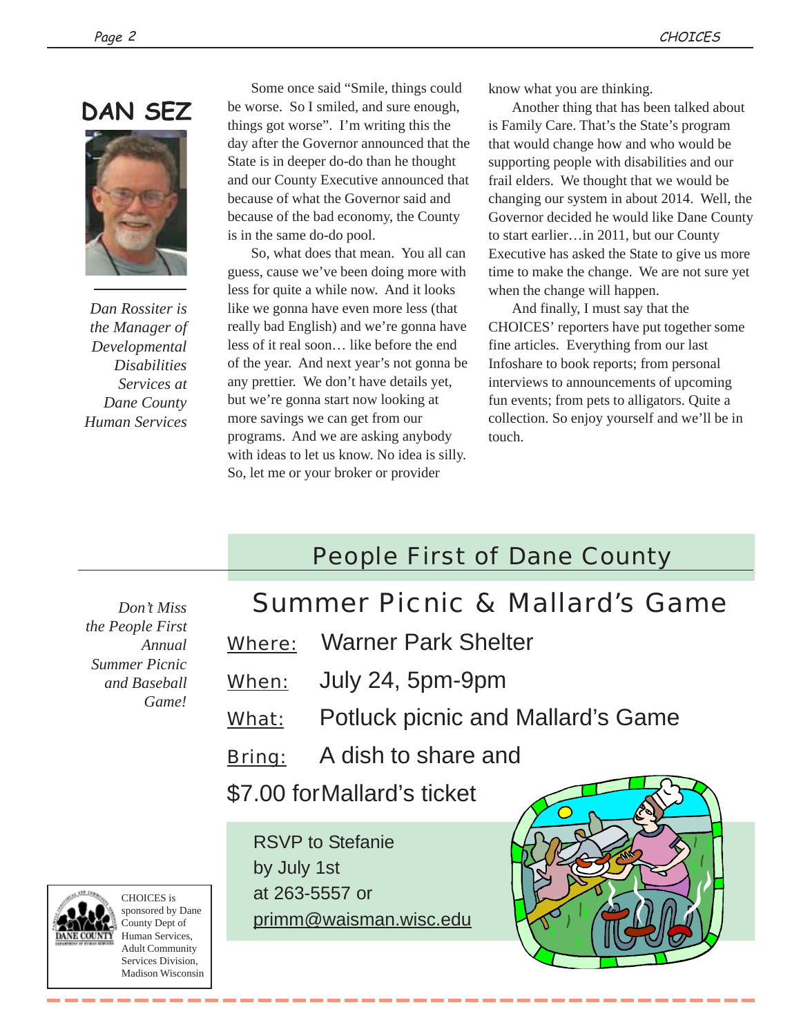

*Dan Rossiter is the Manager of Developmental Disabilities Services at Dane County Human Services*

Some once said "Smile, things could be worse. So I smiled, and sure enough, things got worse". I'm writing this the day after the Governor announced that the State is in deeper do-do than he thought and our County Executive announced that because of what the Governor said and because of the bad economy, the County is in the same do-do pool.

So, what does that mean. You all can guess, cause we've been doing more with less for quite a while now. And it looks like we gonna have even more less (that really bad English) and we're gonna have less of it real soon… like before the end of the year. And next year's not gonna be any prettier. We don't have details yet, but we're gonna start now looking at more savings we can get from our programs. And we are asking anybody with ideas to let us know. No idea is silly. So, let me or your broker or provider

know what you are thinking.

Another thing that has been talked about is Family Care. That's the State's program that would change how and who would be supporting people with disabilities and our frail elders. We thought that we would be changing our system in about 2014. Well, the Governor decided he would like Dane County to start earlier…in 2011, but our County Executive has asked the State to give us more time to make the change. We are not sure yet when the change will happen.

And finally, I must say that the CHOICES' reporters have put together some fine articles. Everything from our last Infoshare to book reports; from personal interviews to announcements of upcoming fun events; from pets to alligators. Quite a collection. So enjoy yourself and we'll be in touch.

## People First of Dane County

*the People First Annual Summer Picnic and Baseball Game!*

### *Don't Miss* Summer Picnic & Mallard's Game

- Where: Warner Park Shelter
- When: July 24, 5pm-9pm
- What: Potluck picnic and Mallard's Game
- Bring: A dish to share and

\$7.00 forMallard's ticket

RSVP to Stefanie by July 1st at 263-5557 or primm@waisman.wisc.edu





CHOICES is sponsored by Dane County Dept of Human Services, Adult Community Services Division, Madison Wisconsin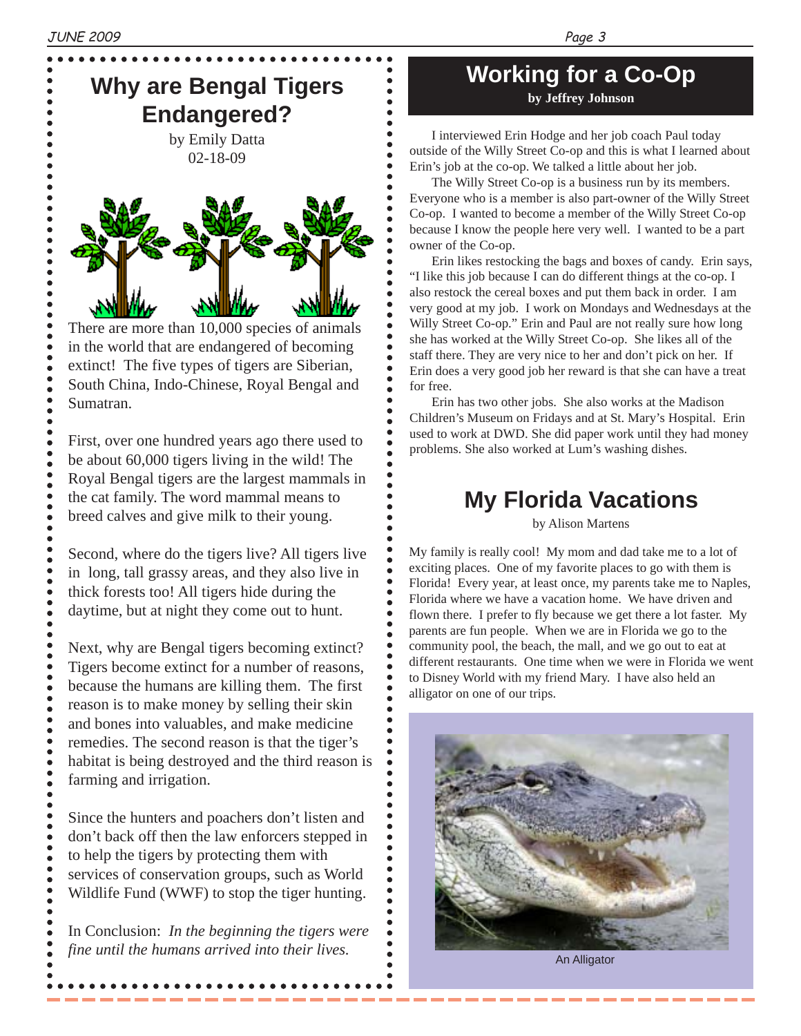$\bullet$  $\bullet$  $\bullet$ 

------<br>----

 $\bullet$  $\bullet$  $\bullet$  $\bullet$  $\bullet$  $\bullet$  $\bullet$ 

## **Why are Bengal Tigers Endangered?**

by Emily Datta 02-18-09



There are more than 10,000 species of animals in the world that are endangered of becoming extinct! The five types of tigers are Siberian, South China, Indo-Chinese, Royal Bengal and Sumatran.

First, over one hundred years ago there used to be about 60,000 tigers living in the wild! The Royal Bengal tigers are the largest mammals in the cat family. The word mammal means to breed calves and give milk to their young.

Second, where do the tigers live? All tigers live in long, tall grassy areas, and they also live in thick forests too! All tigers hide during the daytime, but at night they come out to hunt.

Next, why are Bengal tigers becoming extinct? Tigers become extinct for a number of reasons, because the humans are killing them. The first reason is to make money by selling their skin and bones into valuables, and make medicine remedies. The second reason is that the tiger's habitat is being destroyed and the third reason is farming and irrigation.

Since the hunters and poachers don't listen and don't back off then the law enforcers stepped in to help the tigers by protecting them with services of conservation groups, such as World Wildlife Fund (WWF) to stop the tiger hunting.

 $\bullet$  $\bullet$  $\bullet$ 

 $\bullet$ 

In Conclusion: *In the beginning the tigers were fine until the humans arrived into their lives.*

### **Working for a Co-Op by Jeffrey Johnson**

I interviewed Erin Hodge and her job coach Paul today outside of the Willy Street Co-op and this is what I learned about Erin's job at the co-op. We talked a little about her job.

The Willy Street Co-op is a business run by its members. Everyone who is a member is also part-owner of the Willy Street Co-op. I wanted to become a member of the Willy Street Co-op because I know the people here very well. I wanted to be a part owner of the Co-op.

Erin likes restocking the bags and boxes of candy. Erin says, "I like this job because I can do different things at the co-op. I also restock the cereal boxes and put them back in order. I am very good at my job. I work on Mondays and Wednesdays at the Willy Street Co-op." Erin and Paul are not really sure how long she has worked at the Willy Street Co-op. She likes all of the staff there. They are very nice to her and don't pick on her. If Erin does a very good job her reward is that she can have a treat for free.

Erin has two other jobs. She also works at the Madison Children's Museum on Fridays and at St. Mary's Hospital. Erin used to work at DWD. She did paper work until they had money problems. She also worked at Lum's washing dishes.

## **My Florida Vacations**

by Alison Martens

My family is really cool! My mom and dad take me to a lot of exciting places. One of my favorite places to go with them is Florida! Every year, at least once, my parents take me to Naples, Florida where we have a vacation home. We have driven and flown there. I prefer to fly because we get there a lot faster. My parents are fun people. When we are in Florida we go to the community pool, the beach, the mall, and we go out to eat at different restaurants. One time when we were in Florida we went to Disney World with my friend Mary. I have also held an alligator on one of our trips.



An Alligator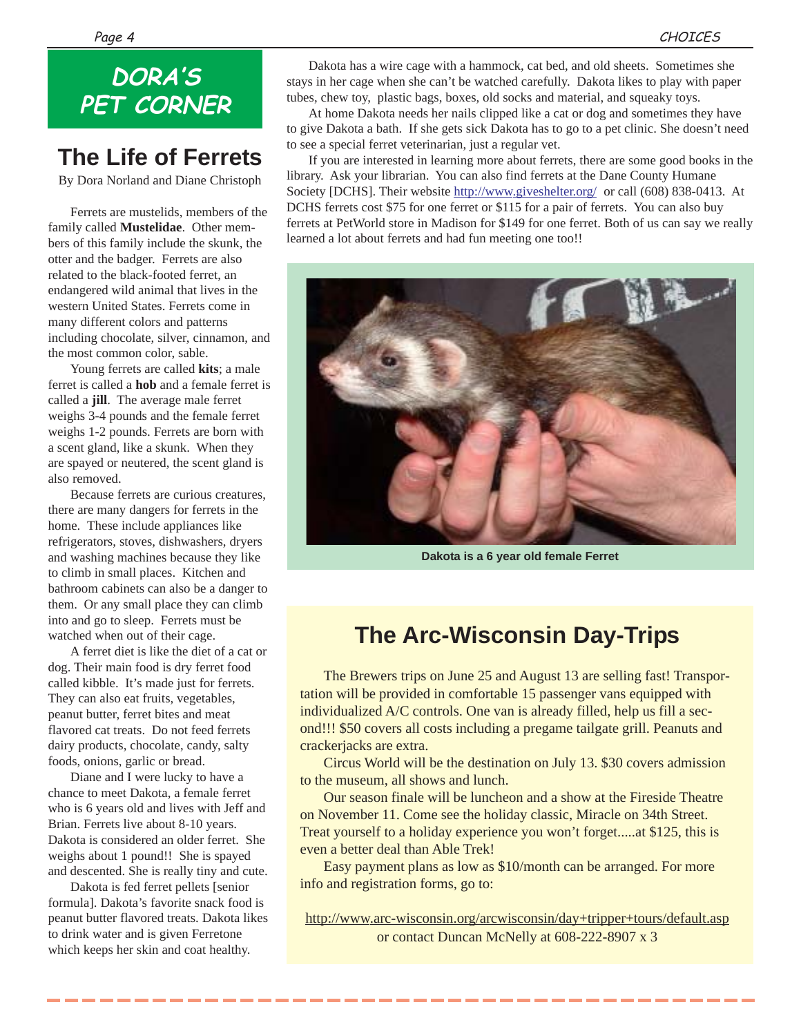## **DORA'S PET CORNER**

## **The Life of Ferrets**

By Dora Norland and Diane Christoph

Ferrets are mustelids, members of the family called **Mustelidae**. Other members of this family include the skunk, the otter and the badger. Ferrets are also related to the black-footed ferret, an endangered wild animal that lives in the western United States. Ferrets come in many different colors and patterns including chocolate, silver, cinnamon, and the most common color, sable.

Young ferrets are called **kits**; a male ferret is called a **hob** and a female ferret is called a **jill**. The average male ferret weighs 3-4 pounds and the female ferret weighs 1-2 pounds. Ferrets are born with a scent gland, like a skunk. When they are spayed or neutered, the scent gland is also removed.

Because ferrets are curious creatures, there are many dangers for ferrets in the home. These include appliances like refrigerators, stoves, dishwashers, dryers and washing machines because they like to climb in small places. Kitchen and bathroom cabinets can also be a danger to them. Or any small place they can climb into and go to sleep. Ferrets must be watched when out of their cage.

A ferret diet is like the diet of a cat or dog. Their main food is dry ferret food called kibble. It's made just for ferrets. They can also eat fruits, vegetables, peanut butter, ferret bites and meat flavored cat treats. Do not feed ferrets dairy products, chocolate, candy, salty foods, onions, garlic or bread.

Diane and I were lucky to have a chance to meet Dakota, a female ferret who is 6 years old and lives with Jeff and Brian. Ferrets live about 8-10 years. Dakota is considered an older ferret. She weighs about 1 pound!! She is spayed and descented. She is really tiny and cute.

Dakota is fed ferret pellets [senior formula]. Dakota's favorite snack food is peanut butter flavored treats. Dakota likes to drink water and is given Ferretone which keeps her skin and coat healthy.

Dakota has a wire cage with a hammock, cat bed, and old sheets. Sometimes she stays in her cage when she can't be watched carefully. Dakota likes to play with paper tubes, chew toy, plastic bags, boxes, old socks and material, and squeaky toys.

At home Dakota needs her nails clipped like a cat or dog and sometimes they have to give Dakota a bath. If she gets sick Dakota has to go to a pet clinic. She doesn't need to see a special ferret veterinarian, just a regular vet.

If you are interested in learning more about ferrets, there are some good books in the library. Ask your librarian. You can also find ferrets at the Dane County Humane Society [DCHS]. Their website http://www.giveshelter.org/ or call (608) 838-0413. At DCHS ferrets cost \$75 for one ferret or \$115 for a pair of ferrets. You can also buy ferrets at PetWorld store in Madison for \$149 for one ferret. Both of us can say we really learned a lot about ferrets and had fun meeting one too!!



**Dakota is a 6 year old female Ferret**

## **The Arc-Wisconsin Day-Trips**

The Brewers trips on June 25 and August 13 are selling fast! Transportation will be provided in comfortable 15 passenger vans equipped with individualized A/C controls. One van is already filled, help us fill a second!!! \$50 covers all costs including a pregame tailgate grill. Peanuts and crackerjacks are extra.

Circus World will be the destination on July 13. \$30 covers admission to the museum, all shows and lunch.

Our season finale will be luncheon and a show at the Fireside Theatre on November 11. Come see the holiday classic, Miracle on 34th Street. Treat yourself to a holiday experience you won't forget.....at \$125, this is even a better deal than Able Trek!

Easy payment plans as low as \$10/month can be arranged. For more info and registration forms, go to:

http://www.arc-wisconsin.org/arcwisconsin/day+tripper+tours/default.asp or contact Duncan McNelly at 608-222-8907 x 3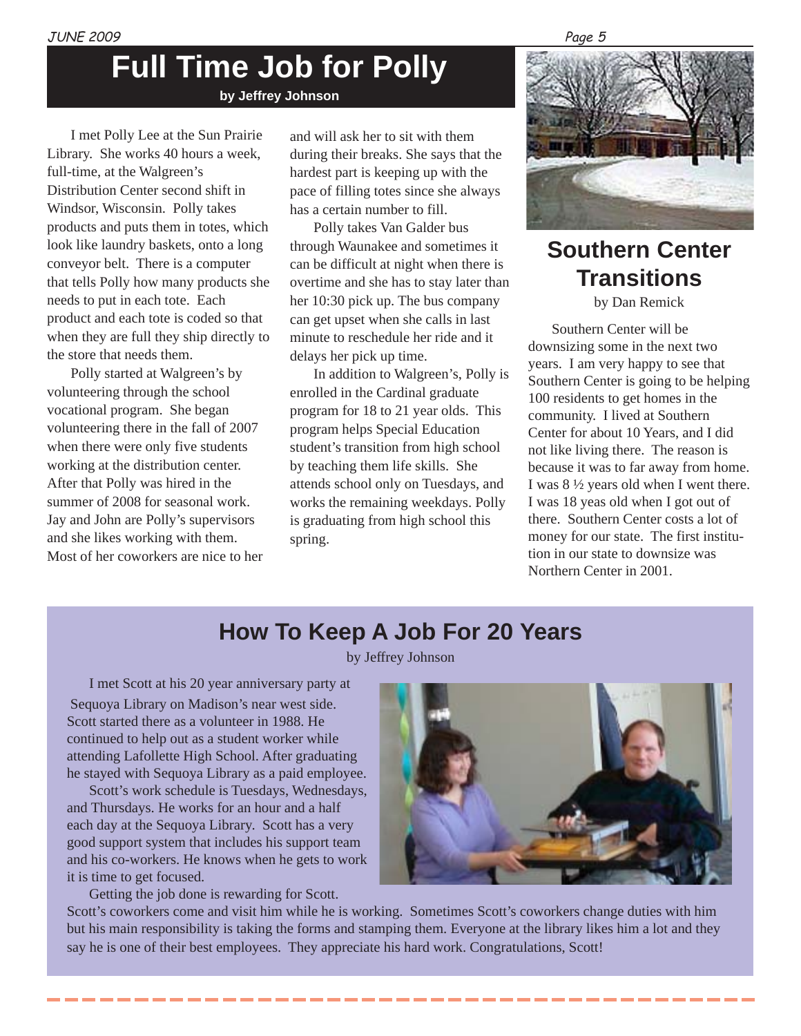## **Full Time Job for Polly**

**by Jeffrey Johnson**

I met Polly Lee at the Sun Prairie Library. She works 40 hours a week, full-time, at the Walgreen's Distribution Center second shift in Windsor, Wisconsin. Polly takes products and puts them in totes, which look like laundry baskets, onto a long conveyor belt. There is a computer that tells Polly how many products she needs to put in each tote. Each product and each tote is coded so that when they are full they ship directly to the store that needs them.

Polly started at Walgreen's by volunteering through the school vocational program. She began volunteering there in the fall of 2007 when there were only five students working at the distribution center. After that Polly was hired in the summer of 2008 for seasonal work. Jay and John are Polly's supervisors and she likes working with them. Most of her coworkers are nice to her

and will ask her to sit with them during their breaks. She says that the hardest part is keeping up with the pace of filling totes since she always has a certain number to fill.

Polly takes Van Galder bus through Waunakee and sometimes it can be difficult at night when there is overtime and she has to stay later than her 10:30 pick up. The bus company can get upset when she calls in last minute to reschedule her ride and it delays her pick up time.

In addition to Walgreen's, Polly is enrolled in the Cardinal graduate program for 18 to 21 year olds. This program helps Special Education student's transition from high school by teaching them life skills. She attends school only on Tuesdays, and works the remaining weekdays. Polly is graduating from high school this spring.



## **Southern Center Transitions**

by Dan Remick

Southern Center will be downsizing some in the next two years. I am very happy to see that Southern Center is going to be helping 100 residents to get homes in the community. I lived at Southern Center for about 10 Years, and I did not like living there. The reason is because it was to far away from home. I was 8 ½ years old when I went there. I was 18 yeas old when I got out of there. Southern Center costs a lot of money for our state. The first institution in our state to downsize was Northern Center in 2001.

## **How To Keep A Job For 20 Years**

by Jeffrey Johnson

I met Scott at his 20 year anniversary party at

 Sequoya Library on Madison's near west side. Scott started there as a volunteer in 1988. He continued to help out as a student worker while attending Lafollette High School. After graduating he stayed with Sequoya Library as a paid employee.

Scott's work schedule is Tuesdays, Wednesdays, and Thursdays. He works for an hour and a half each day at the Sequoya Library. Scott has a very good support system that includes his support team and his co-workers. He knows when he gets to work it is time to get focused.

Getting the job done is rewarding for Scott.



Scott's coworkers come and visit him while he is working. Sometimes Scott's coworkers change duties with him but his main responsibility is taking the forms and stamping them. Everyone at the library likes him a lot and they say he is one of their best employees. They appreciate his hard work. Congratulations, Scott!

#### Page 5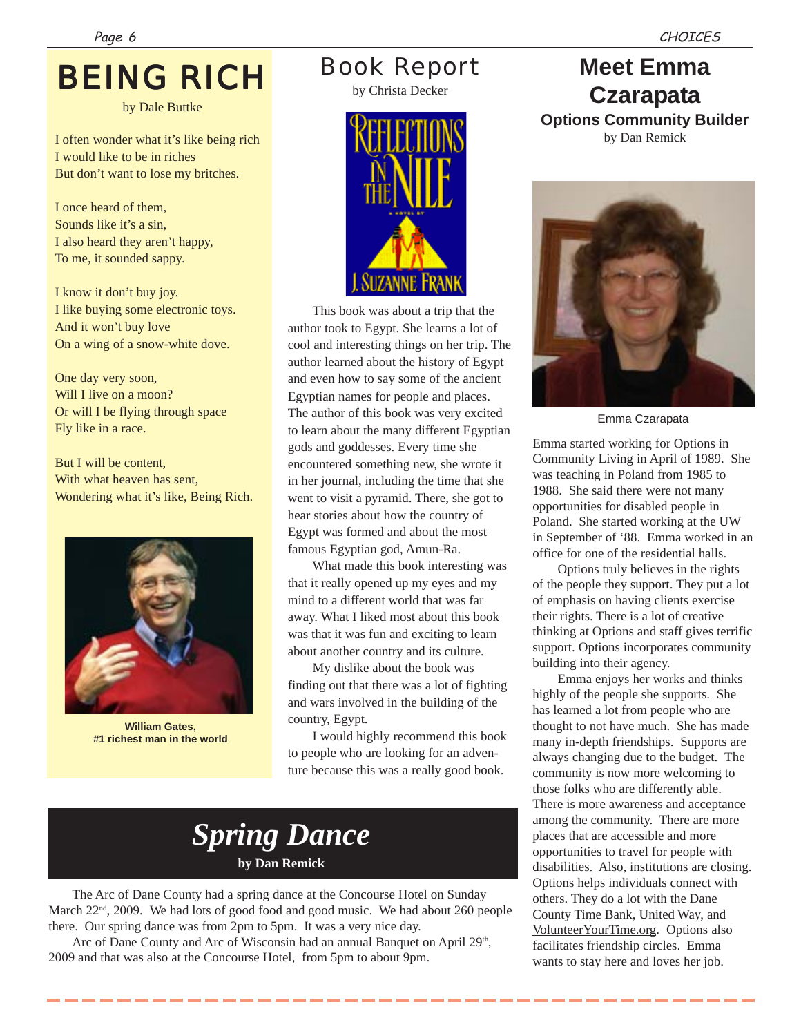## BEING RICH

by Dale Buttke

I often wonder what it's like being rich I would like to be in riches But don't want to lose my britches.

I once heard of them, Sounds like it's a sin, I also heard they aren't happy, To me, it sounded sappy.

I know it don't buy joy. I like buying some electronic toys. And it won't buy love On a wing of a snow-white dove.

One day very soon, Will I live on a moon? Or will I be flying through space Fly like in a race.

But I will be content, With what heaven has sent, Wondering what it's like, Being Rich.



**William Gates, #1 richest man in the world**

## Book Report

by Christa Decker



This book was about a trip that the author took to Egypt. She learns a lot of cool and interesting things on her trip. The author learned about the history of Egypt and even how to say some of the ancient Egyptian names for people and places. The author of this book was very excited to learn about the many different Egyptian gods and goddesses. Every time she encountered something new, she wrote it in her journal, including the time that she went to visit a pyramid. There, she got to hear stories about how the country of Egypt was formed and about the most famous Egyptian god, Amun-Ra.

What made this book interesting was that it really opened up my eyes and my mind to a different world that was far away. What I liked most about this book was that it was fun and exciting to learn about another country and its culture.

My dislike about the book was finding out that there was a lot of fighting and wars involved in the building of the country, Egypt.

I would highly recommend this book to people who are looking for an adventure because this was a really good book.

## *Spring Dance* **by Dan Remick**

The Arc of Dane County had a spring dance at the Concourse Hotel on Sunday March  $22<sup>nd</sup>$ ,  $2009$ . We had lots of good food and good music. We had about 260 people there. Our spring dance was from 2pm to 5pm. It was a very nice day.

Arc of Dane County and Arc of Wisconsin had an annual Banquet on April 29<sup>th</sup>, 2009 and that was also at the Concourse Hotel, from 5pm to about 9pm.

## **Meet Emma Czarapata Options Community Builder**

by Dan Remick



Emma Czarapata

Emma started working for Options in Community Living in April of 1989. She was teaching in Poland from 1985 to 1988. She said there were not many opportunities for disabled people in Poland. She started working at the UW in September of '88. Emma worked in an office for one of the residential halls.

Options truly believes in the rights of the people they support. They put a lot of emphasis on having clients exercise their rights. There is a lot of creative thinking at Options and staff gives terrific support. Options incorporates community building into their agency.

Emma enjoys her works and thinks highly of the people she supports. She has learned a lot from people who are thought to not have much. She has made many in-depth friendships. Supports are always changing due to the budget. The community is now more welcoming to those folks who are differently able. There is more awareness and acceptance among the community. There are more places that are accessible and more opportunities to travel for people with disabilities. Also, institutions are closing. Options helps individuals connect with others. They do a lot with the Dane County Time Bank, United Way, and VolunteerYourTime.org. Options also facilitates friendship circles. Emma wants to stay here and loves her job.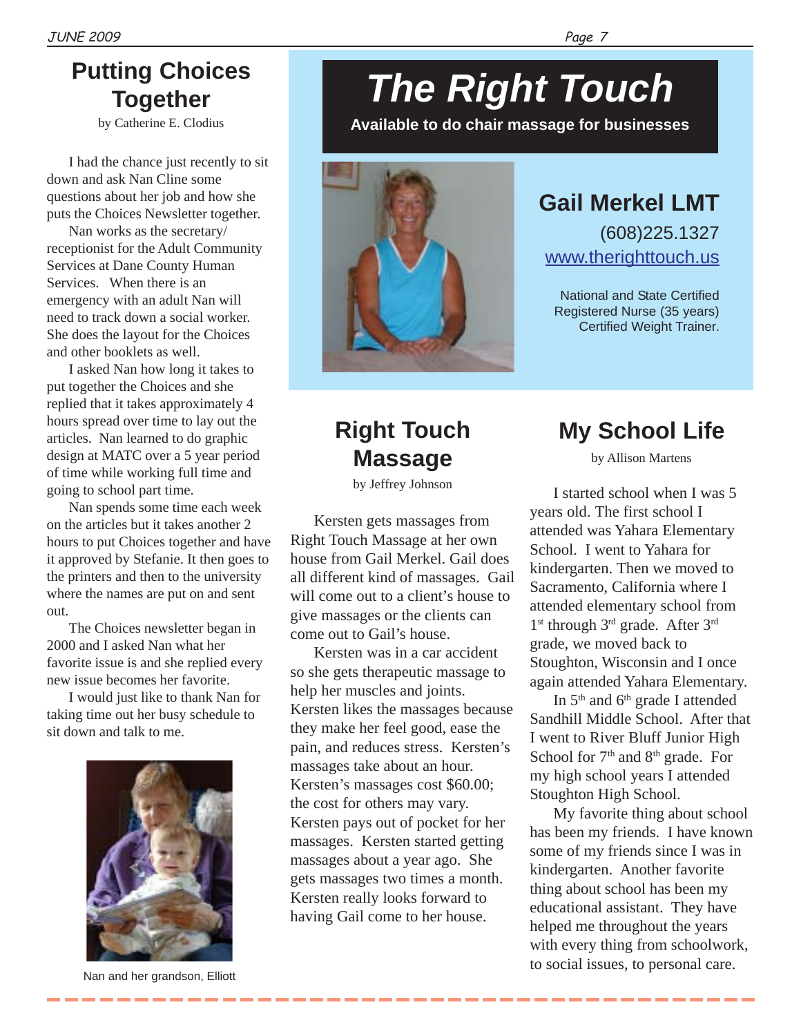## **Putting Choices Together**

by Catherine E. Clodius

I had the chance just recently to sit down and ask Nan Cline some questions about her job and how she puts the Choices Newsletter together.

Nan works as the secretary/ receptionist for the Adult Community Services at Dane County Human Services. When there is an emergency with an adult Nan will need to track down a social worker. She does the layout for the Choices and other booklets as well.

I asked Nan how long it takes to put together the Choices and she replied that it takes approximately 4 hours spread over time to lay out the articles. Nan learned to do graphic design at MATC over a 5 year period of time while working full time and going to school part time.

Nan spends some time each week on the articles but it takes another 2 hours to put Choices together and have it approved by Stefanie. It then goes to the printers and then to the university where the names are put on and sent out.

The Choices newsletter began in 2000 and I asked Nan what her favorite issue is and she replied every new issue becomes her favorite.

I would just like to thank Nan for taking time out her busy schedule to sit down and talk to me.



---------

# *The Right Touch*

**Available to do chair massage for businesses**



## **Gail Merkel LMT**

(608)225.1327 www.therighttouch.us

National and State Certified Registered Nurse (35 years) Certified Weight Trainer.

## **Right Touch Massage**

by Jeffrey Johnson

Kersten gets massages from Right Touch Massage at her own house from Gail Merkel. Gail does all different kind of massages. Gail will come out to a client's house to give massages or the clients can come out to Gail's house.

Kersten was in a car accident so she gets therapeutic massage to help her muscles and joints. Kersten likes the massages because they make her feel good, ease the pain, and reduces stress. Kersten's massages take about an hour. Kersten's massages cost \$60.00; the cost for others may vary. Kersten pays out of pocket for her massages. Kersten started getting massages about a year ago. She gets massages two times a month. Kersten really looks forward to having Gail come to her house.

## **My School Life**

by Allison Martens

I started school when I was 5 years old. The first school I attended was Yahara Elementary School. I went to Yahara for kindergarten. Then we moved to Sacramento, California where I attended elementary school from 1<sup>st</sup> through 3<sup>rd</sup> grade. After 3<sup>rd</sup> grade, we moved back to Stoughton, Wisconsin and I once again attended Yahara Elementary.

In 5<sup>th</sup> and 6<sup>th</sup> grade I attended Sandhill Middle School. After that I went to River Bluff Junior High School for 7<sup>th</sup> and 8<sup>th</sup> grade. For my high school years I attended Stoughton High School.

My favorite thing about school has been my friends. I have known some of my friends since I was in kindergarten. Another favorite thing about school has been my educational assistant. They have helped me throughout the years with every thing from schoolwork, to social issues, to personal care. Nan and her grandson, Elliott

---------------------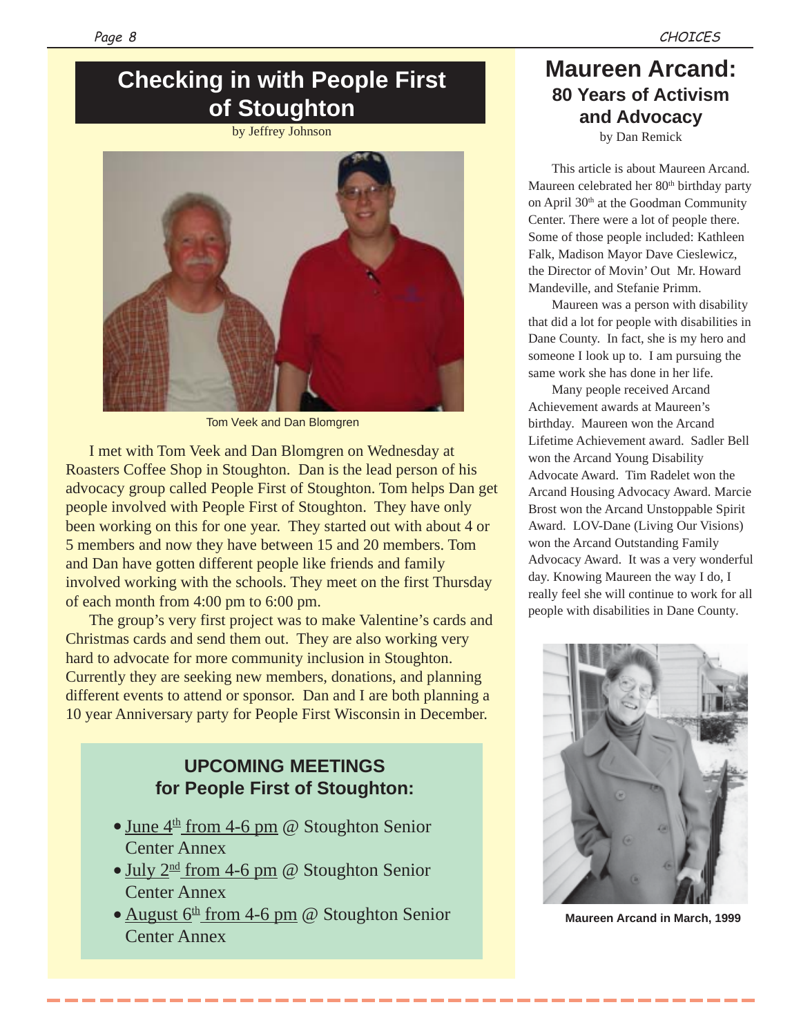## **Checking in with People First of Stoughton**

### by Jeffrey Johnson



Tom Veek and Dan Blomgren

I met with Tom Veek and Dan Blomgren on Wednesday at Roasters Coffee Shop in Stoughton. Dan is the lead person of his advocacy group called People First of Stoughton. Tom helps Dan get people involved with People First of Stoughton. They have only been working on this for one year. They started out with about 4 or 5 members and now they have between 15 and 20 members. Tom and Dan have gotten different people like friends and family involved working with the schools. They meet on the first Thursday of each month from 4:00 pm to 6:00 pm.

The group's very first project was to make Valentine's cards and Christmas cards and send them out. They are also working very hard to advocate for more community inclusion in Stoughton. Currently they are seeking new members, donations, and planning different events to attend or sponsor. Dan and I are both planning a 10 year Anniversary party for People First Wisconsin in December.

### **UPCOMING MEETINGS for People First of Stoughton:**

- June  $4<sup>th</sup>$  from 4-6 pm @ Stoughton Senior Center Annex
- July  $2^{\text{nd}}$  from 4-6 pm @ Stoughton Senior Center Annex
- August  $6<sup>th</sup>$  from 4-6 pm @ Stoughton Senior Center Annex

### **Maureen Arcand: 80 Years of Activism and Advocacy**

by Dan Remick

This article is about Maureen Arcand. Maureen celebrated her 80<sup>th</sup> birthday party on April 30th at the Goodman Community Center. There were a lot of people there. Some of those people included: Kathleen Falk, Madison Mayor Dave Cieslewicz, the Director of Movin' Out Mr. Howard Mandeville, and Stefanie Primm.

Maureen was a person with disability that did a lot for people with disabilities in Dane County. In fact, she is my hero and someone I look up to. I am pursuing the same work she has done in her life.

Many people received Arcand Achievement awards at Maureen's birthday. Maureen won the Arcand Lifetime Achievement award. Sadler Bell won the Arcand Young Disability Advocate Award. Tim Radelet won the Arcand Housing Advocacy Award. Marcie Brost won the Arcand Unstoppable Spirit Award. LOV-Dane (Living Our Visions) won the Arcand Outstanding Family Advocacy Award. It was a very wonderful day. Knowing Maureen the way I do, I really feel she will continue to work for all people with disabilities in Dane County.



**Maureen Arcand in March, 1999**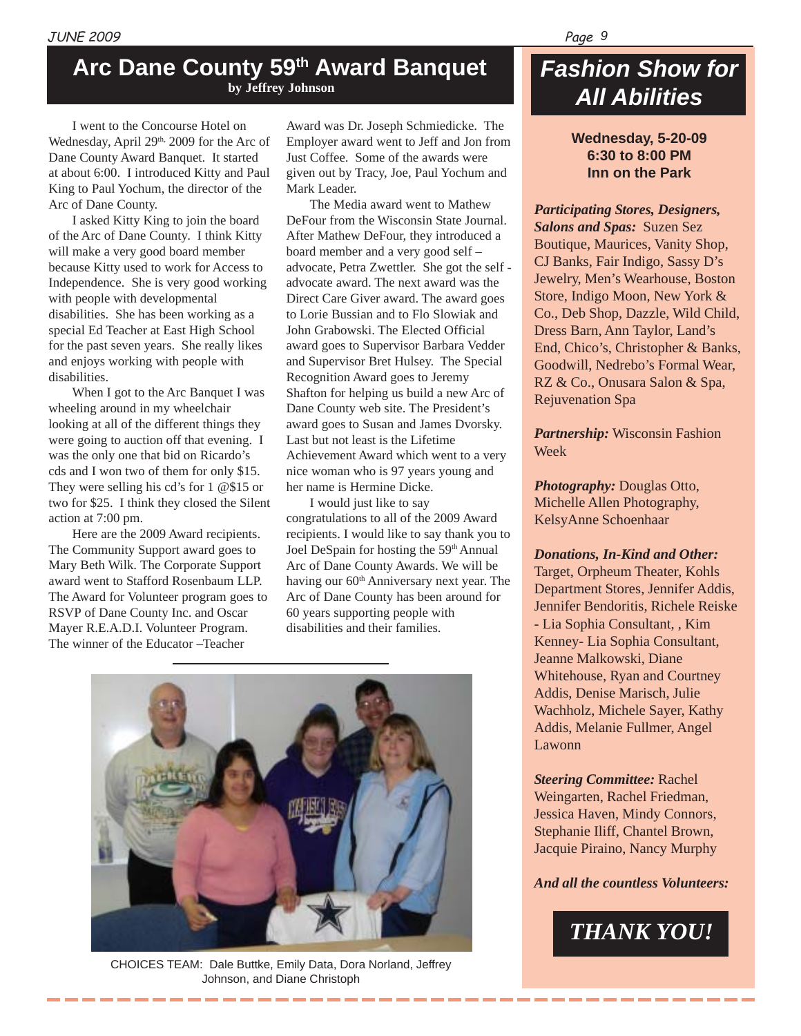### **Arc Dane County 59th Award Banquet by Jeffrey Johnson**

I went to the Concourse Hotel on Wednesday, April 29<sup>th,</sup> 2009 for the Arc of Dane County Award Banquet. It started at about 6:00. I introduced Kitty and Paul King to Paul Yochum, the director of the Arc of Dane County.

I asked Kitty King to join the board of the Arc of Dane County. I think Kitty will make a very good board member because Kitty used to work for Access to Independence. She is very good working with people with developmental disabilities. She has been working as a special Ed Teacher at East High School for the past seven years. She really likes and enjoys working with people with disabilities.

When I got to the Arc Banquet I was wheeling around in my wheelchair looking at all of the different things they were going to auction off that evening. I was the only one that bid on Ricardo's cds and I won two of them for only \$15. They were selling his cd's for 1 @\$15 or two for \$25. I think they closed the Silent action at 7:00 pm.

Here are the 2009 Award recipients. The Community Support award goes to Mary Beth Wilk. The Corporate Support award went to Stafford Rosenbaum LLP. The Award for Volunteer program goes to RSVP of Dane County Inc. and Oscar Mayer R.E.A.D.I. Volunteer Program. The winner of the Educator –Teacher

Award was Dr. Joseph Schmiedicke. The Employer award went to Jeff and Jon from Just Coffee. Some of the awards were given out by Tracy, Joe, Paul Yochum and Mark Leader.

The Media award went to Mathew DeFour from the Wisconsin State Journal. After Mathew DeFour, they introduced a board member and a very good self – advocate, Petra Zwettler. She got the self advocate award. The next award was the Direct Care Giver award. The award goes to Lorie Bussian and to Flo Slowiak and John Grabowski. The Elected Official award goes to Supervisor Barbara Vedder and Supervisor Bret Hulsey. The Special Recognition Award goes to Jeremy Shafton for helping us build a new Arc of Dane County web site. The President's award goes to Susan and James Dvorsky. Last but not least is the Lifetime Achievement Award which went to a very nice woman who is 97 years young and her name is Hermine Dicke.

I would just like to say congratulations to all of the 2009 Award recipients. I would like to say thank you to Joel DeSpain for hosting the 59th Annual Arc of Dane County Awards. We will be having our 60<sup>th</sup> Anniversary next year. The Arc of Dane County has been around for 60 years supporting people with disabilities and their families.



CHOICES TEAM: Dale Buttke, Emily Data, Dora Norland, Jeffrey Johnson, and Diane Christoph

## *Fashion Show for All Abilities*

**Wednesday, 5-20-09 6:30 to 8:00 PM Inn on the Park**

*Participating Stores, Designers, Salons and Spas:* Suzen Sez Boutique, Maurices, Vanity Shop, CJ Banks, Fair Indigo, Sassy D's Jewelry, Men's Wearhouse, Boston Store, Indigo Moon, New York & Co., Deb Shop, Dazzle, Wild Child, Dress Barn, Ann Taylor, Land's End, Chico's, Christopher & Banks, Goodwill, Nedrebo's Formal Wear, RZ & Co., Onusara Salon & Spa, Rejuvenation Spa

*Partnership:* Wisconsin Fashion Week

*Photography:* Douglas Otto, Michelle Allen Photography, KelsyAnne Schoenhaar

### *Donations, In-Kind and Other:*

Target, Orpheum Theater, Kohls Department Stores, Jennifer Addis, Jennifer Bendoritis, Richele Reiske - Lia Sophia Consultant, , Kim Kenney- Lia Sophia Consultant, Jeanne Malkowski, Diane Whitehouse, Ryan and Courtney Addis, Denise Marisch, Julie Wachholz, Michele Sayer, Kathy Addis, Melanie Fullmer, Angel Lawonn

*Steering Committee:* Rachel Weingarten, Rachel Friedman, Jessica Haven, Mindy Connors, Stephanie Iliff, Chantel Brown, Jacquie Piraino, Nancy Murphy

### *And all the countless Volunteers:*